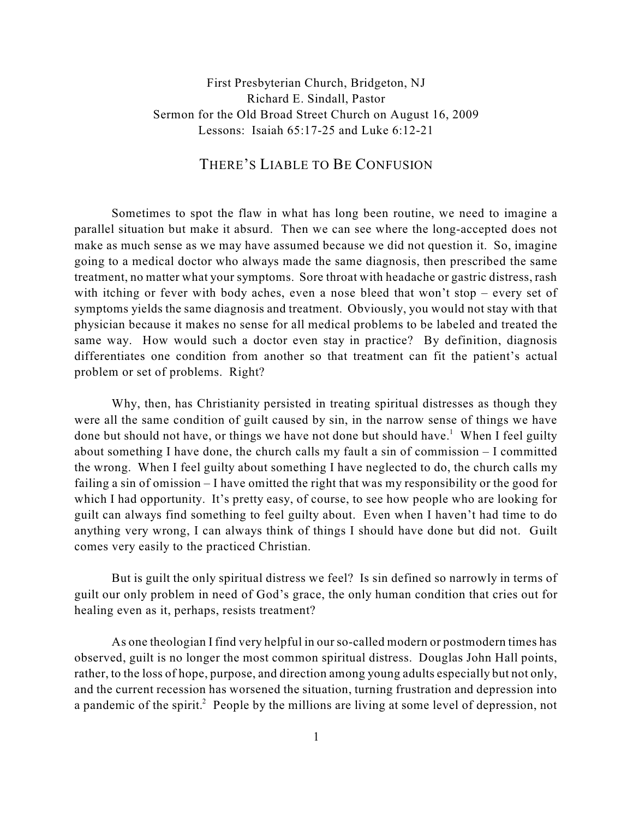## First Presbyterian Church, Bridgeton, NJ Richard E. Sindall, Pastor Sermon for the Old Broad Street Church on August 16, 2009 Lessons: Isaiah 65:17-25 and Luke 6:12-21

## THERE'S LIABLE TO BE CONFUSION

Sometimes to spot the flaw in what has long been routine, we need to imagine a parallel situation but make it absurd. Then we can see where the long-accepted does not make as much sense as we may have assumed because we did not question it. So, imagine going to a medical doctor who always made the same diagnosis, then prescribed the same treatment, no matter what your symptoms. Sore throat with headache or gastric distress, rash with itching or fever with body aches, even a nose bleed that won't stop – every set of symptoms yields the same diagnosis and treatment. Obviously, you would not stay with that physician because it makes no sense for all medical problems to be labeled and treated the same way. How would such a doctor even stay in practice? By definition, diagnosis differentiates one condition from another so that treatment can fit the patient's actual problem or set of problems. Right?

Why, then, has Christianity persisted in treating spiritual distresses as though they were all the same condition of guilt caused by sin, in the narrow sense of things we have done but should not have, or things we have not done but should have.<sup>1</sup> When I feel guilty about something I have done, the church calls my fault a sin of commission – I committed the wrong. When I feel guilty about something I have neglected to do, the church calls my failing a sin of omission – I have omitted the right that was my responsibility or the good for which I had opportunity. It's pretty easy, of course, to see how people who are looking for guilt can always find something to feel guilty about. Even when I haven't had time to do anything very wrong, I can always think of things I should have done but did not. Guilt comes very easily to the practiced Christian.

But is guilt the only spiritual distress we feel? Is sin defined so narrowly in terms of guilt our only problem in need of God's grace, the only human condition that cries out for healing even as it, perhaps, resists treatment?

As one theologian I find very helpful in our so-called modern or postmodern times has observed, guilt is no longer the most common spiritual distress. Douglas John Hall points, rather, to the loss of hope, purpose, and direction among young adults especially but not only, and the current recession has worsened the situation, turning frustration and depression into a pandemic of the spirit.<sup>2</sup> People by the millions are living at some level of depression, not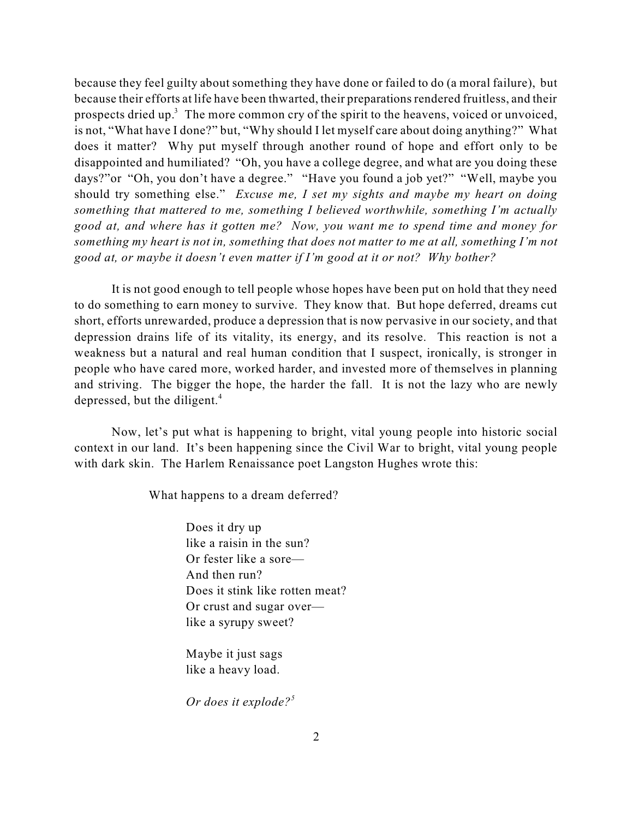because they feel guilty about something they have done or failed to do (a moral failure), but because their efforts at life have been thwarted, their preparations rendered fruitless, and their prospects dried up.<sup>3</sup> The more common cry of the spirit to the heavens, voiced or unvoiced, is not, "What have I done?" but, "Why should I let myself care about doing anything?" What does it matter? Why put myself through another round of hope and effort only to be disappointed and humiliated? "Oh, you have a college degree, and what are you doing these days?"or "Oh, you don't have a degree." "Have you found a job yet?" "Well, maybe you should try something else." *Excuse me, I set my sights and maybe my heart on doing something that mattered to me, something I believed worthwhile, something I'm actually good at, and where has it gotten me? Now, you want me to spend time and money for something my heart is not in, something that does not matter to me at all, something I'm not good at, or maybe it doesn't even matter if I'm good at it or not? Why bother?*

It is not good enough to tell people whose hopes have been put on hold that they need to do something to earn money to survive. They know that. But hope deferred, dreams cut short, efforts unrewarded, produce a depression that is now pervasive in our society, and that depression drains life of its vitality, its energy, and its resolve. This reaction is not a weakness but a natural and real human condition that I suspect, ironically, is stronger in people who have cared more, worked harder, and invested more of themselves in planning and striving. The bigger the hope, the harder the fall. It is not the lazy who are newly depressed, but the diligent.<sup>4</sup>

Now, let's put what is happening to bright, vital young people into historic social context in our land. It's been happening since the Civil War to bright, vital young people with dark skin. The Harlem Renaissance poet Langston Hughes wrote this:

What happens to a dream deferred?

Does it dry up like a raisin in the sun? Or fester like a sore— And then run? Does it stink like rotten meat? Or crust and sugar over like a syrupy sweet?

Maybe it just sags like a heavy load.

*Or does it explode? 5*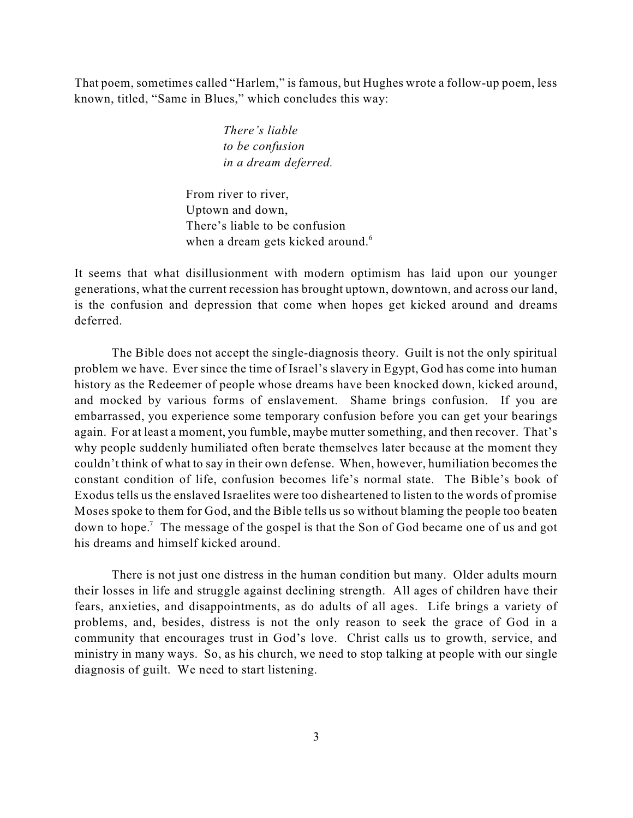That poem, sometimes called "Harlem," is famous, but Hughes wrote a follow-up poem, less known, titled, "Same in Blues," which concludes this way:

> *There's liable to be confusion in a dream deferred.*

From river to river, Uptown and down, There's liable to be confusion when a dream gets kicked around.<sup>6</sup>

It seems that what disillusionment with modern optimism has laid upon our younger generations, what the current recession has brought uptown, downtown, and across our land, is the confusion and depression that come when hopes get kicked around and dreams deferred.

The Bible does not accept the single-diagnosis theory. Guilt is not the only spiritual problem we have. Ever since the time of Israel's slavery in Egypt, God has come into human history as the Redeemer of people whose dreams have been knocked down, kicked around, and mocked by various forms of enslavement. Shame brings confusion. If you are embarrassed, you experience some temporary confusion before you can get your bearings again. For at least a moment, you fumble, maybe mutter something, and then recover. That's why people suddenly humiliated often berate themselves later because at the moment they couldn't think of what to say in their own defense. When, however, humiliation becomes the constant condition of life, confusion becomes life's normal state. The Bible's book of Exodus tells us the enslaved Israelites were too disheartened to listen to the words of promise Moses spoke to them for God, and the Bible tells us so without blaming the people too beaten down to hope.<sup>7</sup> The message of the gospel is that the Son of God became one of us and got his dreams and himself kicked around.

There is not just one distress in the human condition but many. Older adults mourn their losses in life and struggle against declining strength. All ages of children have their fears, anxieties, and disappointments, as do adults of all ages. Life brings a variety of problems, and, besides, distress is not the only reason to seek the grace of God in a community that encourages trust in God's love. Christ calls us to growth, service, and ministry in many ways. So, as his church, we need to stop talking at people with our single diagnosis of guilt. We need to start listening.